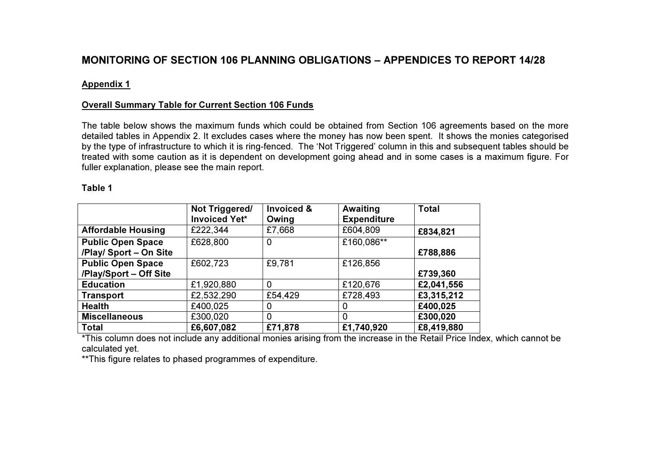# MONITORING OF SECTION 106 PLANNING OBLIGATIONS – APPENDICES TO REPORT 14/28

### Appendix 1

### Overall Summary Table for Current Section 106 Funds

The table below shows the maximum funds which could be obtained from Section 106 agreements based on the more detailed tables in Appendix 2. It excludes cases where the money has now been spent. It shows the monies categorised by the type of infrastructure to which it is ring-fenced. The 'Not Triggered' column in this and subsequent tables should be treated with some caution as it is dependent on development going ahead and in some cases is a maximum figure. For fuller explanation, please see the main report.

#### Table 1

|                           | Not Triggered/<br><b>Invoiced Yet*</b> | Invoiced &<br>Owing | Awaiting<br><b>Expenditure</b> | <b>Total</b> |
|---------------------------|----------------------------------------|---------------------|--------------------------------|--------------|
| <b>Affordable Housing</b> | £222,344                               | £7,668              | £604,809                       | £834,821     |
| <b>Public Open Space</b>  | £628,800                               | 0                   | £160,086**                     |              |
| /Play/ Sport - On Site    |                                        |                     |                                | £788,886     |
| <b>Public Open Space</b>  | £602,723                               | £9,781              | £126,856                       |              |
| /Play/Sport - Off Site    |                                        |                     |                                | £739,360     |
| <b>Education</b>          | £1,920,880                             | 0                   | £120,676                       | £2,041,556   |
| <b>Transport</b>          | £2,532,290                             | £54,429             | £728,493                       | £3,315,212   |
| <b>Health</b>             | £400,025                               | O                   | 0                              | £400,025     |
| <b>Miscellaneous</b>      | £300,020                               | 0                   | 0                              | £300,020     |
| <b>Total</b>              | £6,607,082                             | £71,878             | £1,740,920                     | £8,419,880   |

\*This column does not include any additional monies arising from the increase in the Retail Price Index, which cannot be calculated yet.

\*\*This figure relates to phased programmes of expenditure.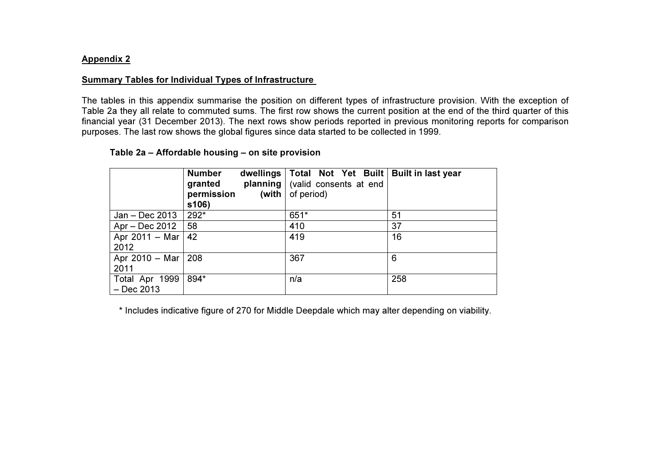#### Appendix 2

#### Summary Tables for Individual Types of Infrastructure

The tables in this appendix summarise the position on different types of infrastructure provision. With the exception of Table 2a they all relate to commuted sums. The first row shows the current position at the end of the third quarter of this financial year (31 December 2013). The next rows show periods reported in previous monitoring reports for comparisonpurposes. The last row shows the global figures since data started to be collected in 1999.

#### Table 2a – Affordable housing – on site provision

|                                | <b>Number</b><br>planning<br>granted<br>permission<br>(with<br>s106) | dwellings   Total Not Yet Built   Built in last year<br>(valid consents at end<br>of period) |     |
|--------------------------------|----------------------------------------------------------------------|----------------------------------------------------------------------------------------------|-----|
| $Jan - Dec 2013$               | 292*                                                                 | 651*                                                                                         | 51  |
| Apr – Dec 2012                 | 58                                                                   | 410                                                                                          | 37  |
| Apr 2011 - Mar<br>2012         | 42                                                                   | 419                                                                                          | 16  |
| Apr 2010 - Mar<br>2011         | 208                                                                  | 367                                                                                          | 6   |
| Total Apr 1999<br>$-$ Dec 2013 | 894*                                                                 | n/a                                                                                          | 258 |

\* Includes indicative figure of 270 for Middle Deepdale which may alter depending on viability.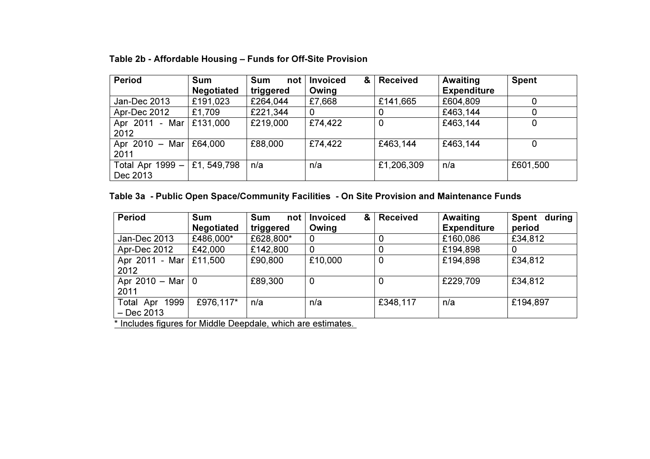| <b>Period</b>      | <b>Sum</b>        | <b>Sum</b><br>not <sub>l</sub> | <b>Invoiced</b><br>& | <b>Received</b> | Awaiting           | <b>Spent</b> |
|--------------------|-------------------|--------------------------------|----------------------|-----------------|--------------------|--------------|
|                    | <b>Negotiated</b> | triggered                      | Owing                |                 | <b>Expenditure</b> |              |
| Jan-Dec 2013       | £191,023          | £264,044                       | £7,668               | £141,665        | £604,809           |              |
| Apr-Dec 2012       | £1,709            | £221,344                       | 0                    | 0               | £463,144           | 0            |
| Apr 2011 - Mar     | £131,000          | £219,000                       | £74,422              | 0               | £463,144           | 0            |
| 2012               |                   |                                |                      |                 |                    |              |
| Apr 2010 - Mar     | £64,000           | £88,000                        | £74,422              | £463,144        | £463,144           | 0            |
| 2011               |                   |                                |                      |                 |                    |              |
| Total Apr $1999 -$ | £1, 549,798       | n/a                            | n/a                  | £1,206,309      | n/a                | £601,500     |
| Dec 2013           |                   |                                |                      |                 |                    |              |

## Table 2b - Affordable Housing – Funds for Off-Site Provision

## Table 3a - Public Open Space/Community Facilities - On Site Provision and Maintenance Funds

| <b>Period</b>       | <b>Sum</b>        | Sum<br>not | &<br><b>Invoiced</b> | <b>Received</b> | Awaiting           | Spent during |
|---------------------|-------------------|------------|----------------------|-----------------|--------------------|--------------|
|                     | <b>Negotiated</b> | triggered  | Owing                |                 | <b>Expenditure</b> | period       |
| Jan-Dec 2013        | £486,000*         | £628,800*  | 0                    |                 | £160,086           | £34,812      |
| Apr-Dec 2012        | £42,000           | £142,800   | 0                    |                 | £194,898           |              |
| Apr 2011 - Mar      | £11,500           | £90,800    | £10,000              | 0               | £194,898           | £34,812      |
| 2012                |                   |            |                      |                 |                    |              |
| Apr 2010 – Mar $ 0$ |                   | £89,300    | 0                    |                 | £229,709           | £34,812      |
| 2011                |                   |            |                      |                 |                    |              |
| Total Apr 1999      | £976,117*         | n/a        | n/a                  | £348,117        | n/a                | £194,897     |
| – Dec 2013          |                   | .          |                      |                 |                    |              |

\* Includes figures for Middle Deepdale, which are estimates.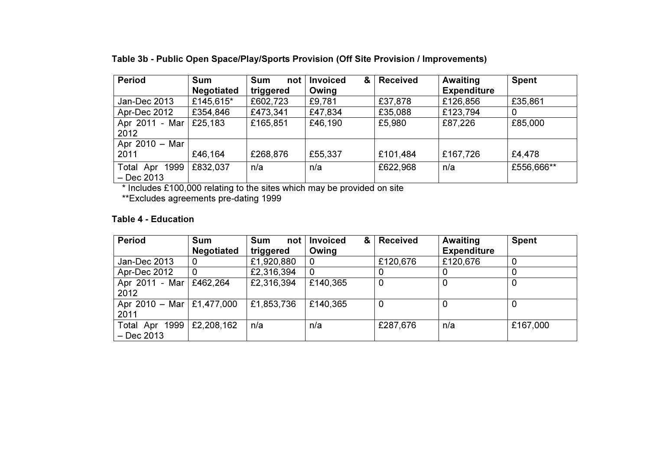| <b>Period</b>     | <b>Sum</b>        | <b>Sum</b><br>not | <b>Invoiced</b><br>& | <b>Received</b> | Awaiting           | <b>Spent</b> |
|-------------------|-------------------|-------------------|----------------------|-----------------|--------------------|--------------|
|                   | <b>Negotiated</b> | triggered         | Owing                |                 | <b>Expenditure</b> |              |
| Jan-Dec 2013      | £145,615*         | £602,723          | £9,781               | £37,878         | £126,856           | £35,861      |
| Apr-Dec 2012      | £354,846          | £473,341          | £47,834              | £35,088         | £123,794           |              |
| Apr 2011 - Mar    | £25,183           | £165,851          | £46,190              | £5,980          | £87,226            | £85,000      |
| 2012              |                   |                   |                      |                 |                    |              |
| Apr 2010 - Mar    |                   |                   |                      |                 |                    |              |
| 2011              | £46,164           | £268,876          | £55,337              | £101,484        | £167,726           | £4,478       |
| Total Apr<br>1999 | £832,037          | n/a               | n/a                  | £622,968        | n/a                | £556,666**   |
| $-$ Dec 2013      |                   |                   |                      |                 |                    |              |

Table 3b - Public Open Space/Play/Sports Provision (Off Site Provision / Improvements)

\* Includes £100,000 relating to the sites which may be provided on site

\*\*Excludes agreements pre-dating 1999

## Table 4 - Education

| <b>Period</b>                            | <b>Sum</b>        | <b>Sum</b><br>not l | <b>Invoiced</b><br>& | <b>Received</b> | Awaiting           | <b>Spent</b> |
|------------------------------------------|-------------------|---------------------|----------------------|-----------------|--------------------|--------------|
|                                          | <b>Negotiated</b> | triggered           | Owing                |                 | <b>Expenditure</b> |              |
| Jan-Dec 2013                             | 0                 | £1,920,880          | 0                    | £120,676        | £120,676           | 0            |
| Apr-Dec 2012                             | 0                 | £2,316,394          | $\mathbf 0$          |                 |                    | 0            |
| Apr 2011 - Mar                           | £462,264          | £2,316,394          | £140,365             | 0               | 0                  | 0            |
| 2012                                     |                   |                     |                      |                 |                    |              |
| Apr 2010 - Mar $\mid$ £1,477,000<br>2011 |                   | £1,853,736          | £140,365             | 0               | 0                  | 0            |
|                                          |                   |                     |                      |                 |                    |              |
| Total Apr 1999                           | £2,208,162        | n/a                 | n/a                  | £287,676        | n/a                | £167,000     |
| $-$ Dec 2013                             |                   |                     |                      |                 |                    |              |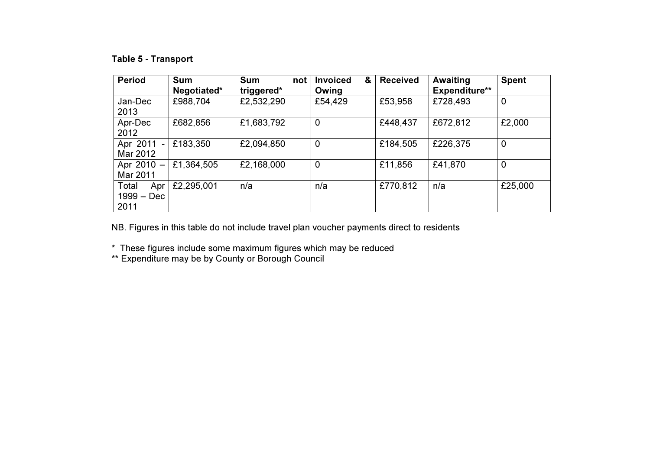## Table 5 - Transport

| <b>Period</b>                      | <b>Sum</b><br>Negotiated* | <b>Sum</b><br>not<br>triggered* | &<br><b>Invoiced</b><br>Owing | <b>Received</b> | Awaiting<br><b>Expenditure**</b> | <b>Spent</b> |
|------------------------------------|---------------------------|---------------------------------|-------------------------------|-----------------|----------------------------------|--------------|
| Jan-Dec<br>2013                    | £988,704                  | £2,532,290                      | £54,429                       | £53,958         | £728,493                         | 0            |
| Apr-Dec<br>2012                    | £682,856                  | £1,683,792                      | 0                             | £448,437        | £672,812                         | £2,000       |
| Apr 2011 -<br>Mar 2012             | £183,350                  | £2,094,850                      | 0                             | £184,505        | £226,375                         | $\mathbf 0$  |
| Apr 2010 -<br>Mar 2011             | £1,364,505                | £2,168,000                      | $\mathbf 0$                   | £11,856         | £41,870                          | 0            |
| Total<br>Apr<br>1999 – Dec<br>2011 | £2,295,001                | n/a                             | n/a                           | £770,812        | n/a                              | £25,000      |

NB. Figures in this table do not include travel plan voucher payments direct to residents

\* These figures include some maximum figures which may be reduced \*\* Expenditure may be by County or Borough Council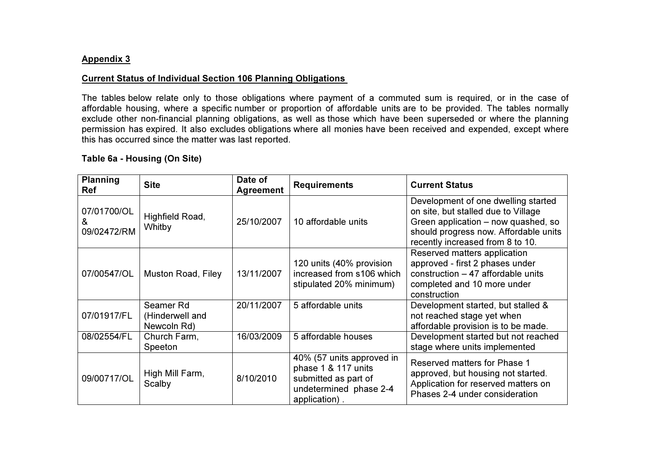### Appendix 3

### Current Status of Individual Section 106 Planning Obligations

The tables below relate only to those obligations where payment of a commuted sum is required, or in the case of affordable housing, where a specific number or proportion of affordable units are to be provided. The tables normally exclude other non-financial planning obligations, as well as those which have been superseded or where the planning permission has expired. It also excludes obligations where all monies have been received and expended, except where this has occurred since the matter was last reported.

## Table 6a - Housing (On Site)

| <b>Planning</b><br><b>Ref</b>   | <b>Site</b>                                 | Date of<br><b>Agreement</b> | <b>Requirements</b>                                                                                                 | <b>Current Status</b>                                                                                                                                                                          |
|---------------------------------|---------------------------------------------|-----------------------------|---------------------------------------------------------------------------------------------------------------------|------------------------------------------------------------------------------------------------------------------------------------------------------------------------------------------------|
| 07/01700/OL<br>&<br>09/02472/RM | Highfield Road,<br>Whitby                   | 25/10/2007                  | 10 affordable units                                                                                                 | Development of one dwelling started<br>on site, but stalled due to Village<br>Green application - now quashed, so<br>should progress now. Affordable units<br>recently increased from 8 to 10. |
| 07/00547/OL                     | <b>Muston Road, Filey</b>                   | 13/11/2007                  | 120 units (40% provision<br>increased from s106 which<br>stipulated 20% minimum)                                    | Reserved matters application<br>approved - first 2 phases under<br>construction $-47$ affordable units<br>completed and 10 more under<br>construction                                          |
| 07/01917/FL                     | Seamer Rd<br>(Hinderwell and<br>Newcoln Rd) | 20/11/2007                  | 5 affordable units                                                                                                  | Development started, but stalled &<br>not reached stage yet when<br>affordable provision is to be made.                                                                                        |
| 08/02554/FL                     | Church Farm,<br>Speeton                     | 16/03/2009                  | 5 affordable houses                                                                                                 | Development started but not reached<br>stage where units implemented                                                                                                                           |
| 09/00717/OL                     | High Mill Farm,<br>Scalby                   | 8/10/2010                   | 40% (57 units approved in<br>phase 1 & 117 units<br>submitted as part of<br>undetermined phase 2-4<br>application). | Reserved matters for Phase 1<br>approved, but housing not started.<br>Application for reserved matters on<br>Phases 2-4 under consideration                                                    |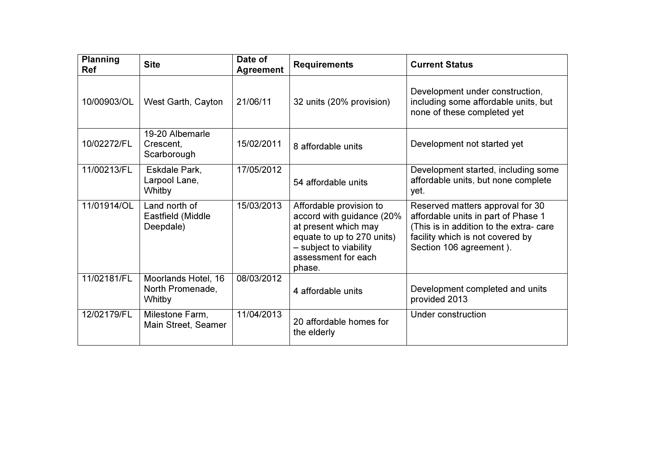| <b>Planning</b><br><b>Ref</b> | <b>Site</b>                                       | Date of<br><b>Agreement</b> | <b>Requirements</b>                                                                                                                                                   | <b>Current Status</b>                                                                                                                                                             |
|-------------------------------|---------------------------------------------------|-----------------------------|-----------------------------------------------------------------------------------------------------------------------------------------------------------------------|-----------------------------------------------------------------------------------------------------------------------------------------------------------------------------------|
| 10/00903/OL                   | West Garth, Cayton                                | 21/06/11                    | 32 units (20% provision)                                                                                                                                              | Development under construction,<br>including some affordable units, but<br>none of these completed yet                                                                            |
| 10/02272/FL                   | 19-20 Albemarle<br>Crescent,<br>Scarborough       | 15/02/2011                  | 8 affordable units                                                                                                                                                    | Development not started yet                                                                                                                                                       |
| 11/00213/FL                   | Eskdale Park,<br>Larpool Lane,<br>Whitby          | 17/05/2012                  | 54 affordable units                                                                                                                                                   | Development started, including some<br>affordable units, but none complete<br>yet.                                                                                                |
| 11/01914/OL                   | Land north of<br>Eastfield (Middle<br>Deepdale)   | 15/03/2013                  | Affordable provision to<br>accord with guidance (20%<br>at present which may<br>equate to up to 270 units)<br>- subject to viability<br>assessment for each<br>phase. | Reserved matters approval for 30<br>affordable units in part of Phase 1<br>(This is in addition to the extra- care<br>facility which is not covered by<br>Section 106 agreement). |
| 11/02181/FL                   | Moorlands Hotel, 16<br>North Promenade,<br>Whitby | 08/03/2012                  | 4 affordable units                                                                                                                                                    | Development completed and units<br>provided 2013                                                                                                                                  |
| 12/02179/FL                   | Milestone Farm,<br>Main Street, Seamer            | 11/04/2013                  | 20 affordable homes for<br>the elderly                                                                                                                                | Under construction                                                                                                                                                                |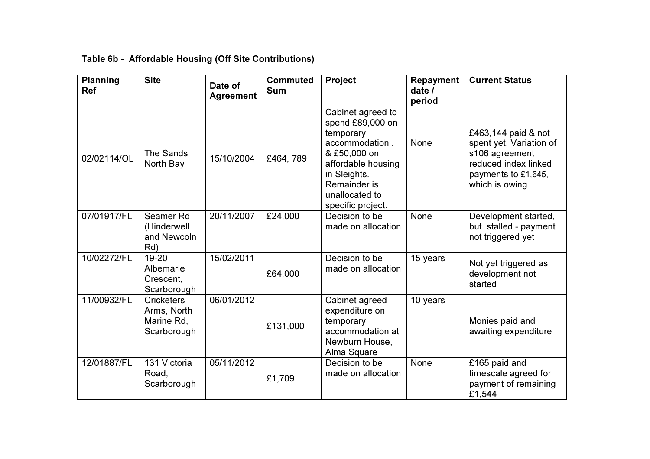| <b>Planning</b><br>Ref | <b>Site</b>                                                   | Date of<br><b>Agreement</b> | <b>Commuted</b><br><b>Sum</b> | Project                                                                                                                                                                           | Repayment<br>date $\overline{I}$<br>period | <b>Current Status</b>                                                                                                             |
|------------------------|---------------------------------------------------------------|-----------------------------|-------------------------------|-----------------------------------------------------------------------------------------------------------------------------------------------------------------------------------|--------------------------------------------|-----------------------------------------------------------------------------------------------------------------------------------|
| 02/02114/OL            | The Sands<br>North Bay                                        | 15/10/2004                  | £464,789                      | Cabinet agreed to<br>spend £89,000 on<br>temporary<br>accommodation.<br>& £50,000 on<br>affordable housing<br>in Sleights.<br>Remainder is<br>unallocated to<br>specific project. | None                                       | £463,144 paid & not<br>spent yet. Variation of<br>s106 agreement<br>reduced index linked<br>payments to £1,645,<br>which is owing |
| 07/01917/FL            | Seamer Rd<br>(Hinderwell<br>and Newcoln<br>Rd)                | 20/11/2007                  | £24,000                       | Decision to be<br>made on allocation                                                                                                                                              | None                                       | Development started,<br>but stalled - payment<br>not triggered yet                                                                |
| 10/02272/FL            | 19-20<br>Albemarle<br>Crescent,<br>Scarborough                | 15/02/2011                  | £64,000                       | Decision to be<br>made on allocation                                                                                                                                              | 15 years                                   | Not yet triggered as<br>development not<br>started                                                                                |
| 11/00932/FL            | <b>Cricketers</b><br>Arms, North<br>Marine Rd,<br>Scarborough | 06/01/2012                  | £131,000                      | Cabinet agreed<br>expenditure on<br>temporary<br>accommodation at<br>Newburn House,<br>Alma Square                                                                                | 10 years                                   | Monies paid and<br>awaiting expenditure                                                                                           |
| 12/01887/FL            | 131 Victoria<br>Road,<br>Scarborough                          | 05/11/2012                  | £1,709                        | Decision to be<br>made on allocation                                                                                                                                              | None                                       | £165 paid and<br>timescale agreed for<br>payment of remaining<br>£1,544                                                           |

## Table 6b - Affordable Housing (Off Site Contributions)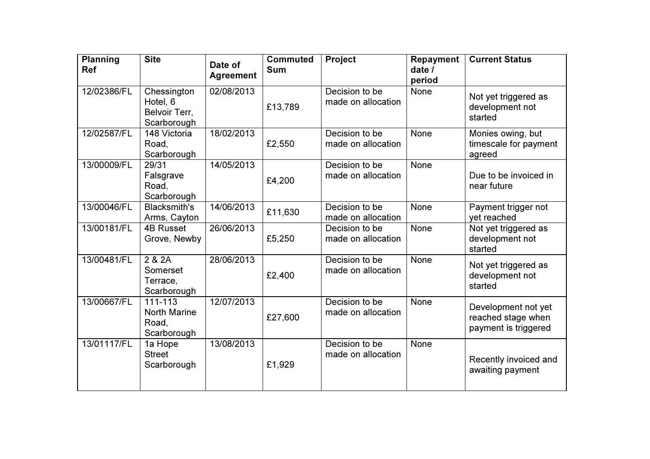| <b>Planning</b><br><b>Ref</b> | <b>Site</b>                                                | Date of<br><b>Agreement</b> | <b>Commuted</b><br><b>Sum</b> | Project                              | <b>Repayment</b><br>date $\sqrt{ }$<br>period | <b>Current Status</b>                                             |
|-------------------------------|------------------------------------------------------------|-----------------------------|-------------------------------|--------------------------------------|-----------------------------------------------|-------------------------------------------------------------------|
| 12/02386/FL                   | Chessington<br>Hotel, 6<br>Belvoir Terr,<br>Scarborough    | 02/08/2013                  | £13,789                       | Decision to be<br>made on allocation | None                                          | Not yet triggered as<br>development not<br>started                |
| 12/02587/FL                   | 148 Victoria<br>Road,<br>Scarborough                       | 18/02/2013                  | £2,550                        | Decision to be<br>made on allocation | None                                          | Monies owing, but<br>timescale for payment<br>agreed              |
| 13/00009/FL                   | 29/31<br>Falsgrave<br>Road,<br>Scarborough                 | 14/05/2013                  | £4,200                        | Decision to be<br>made on allocation | None                                          | Due to be invoiced in<br>near future                              |
| 13/00046/FL                   | <b>Blacksmith's</b><br>Arms, Cayton                        | 14/06/2013                  | £11,630                       | Decision to be<br>made on allocation | None                                          | Payment trigger not<br>yet reached                                |
| 13/00181/FL                   | <b>4B Russet</b><br>Grove, Newby                           | 26/06/2013                  | £5,250                        | Decision to be<br>made on allocation | None                                          | Not yet triggered as<br>development not<br>started                |
| 13/00481/FL                   | $\overline{2}$ & 2A<br>Somerset<br>Terrace,<br>Scarborough | 28/06/2013                  | £2,400                        | Decision to be<br>made on allocation | None                                          | Not yet triggered as<br>development not<br>started                |
| 13/00667/FL                   | 111-113<br><b>North Marine</b><br>Road,<br>Scarborough     | 12/07/2013                  | £27,600                       | Decision to be<br>made on allocation | None                                          | Development not yet<br>reached stage when<br>payment is triggered |
| 13/01117/FL                   | 1a Hope<br><b>Street</b><br>Scarborough                    | 13/08/2013                  | £1,929                        | Decision to be<br>made on allocation | None                                          | Recently invoiced and<br>awaiting payment                         |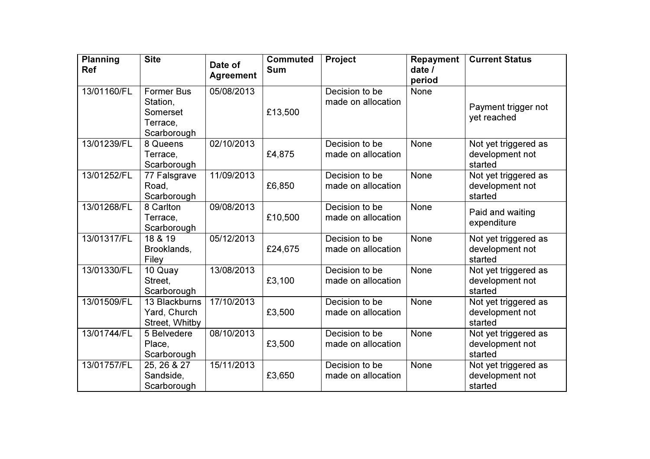| <b>Planning</b><br><b>Ref</b> | <b>Site</b>                                                          | Date of<br><b>Agreement</b> | <b>Commuted</b><br><b>Sum</b> | Project                              | <b>Repayment</b><br>date $\overline{I}$ | <b>Current Status</b>                              |
|-------------------------------|----------------------------------------------------------------------|-----------------------------|-------------------------------|--------------------------------------|-----------------------------------------|----------------------------------------------------|
| 13/01160/FL                   | <b>Former Bus</b><br>Station,<br>Somerset<br>Terrace,<br>Scarborough | 05/08/2013                  | £13,500                       | Decision to be<br>made on allocation | period<br><b>None</b>                   | Payment trigger not<br>yet reached                 |
| 13/01239/FL                   | 8 Queens<br>Terrace,<br>Scarborough                                  | 02/10/2013                  | £4,875                        | Decision to be<br>made on allocation | None                                    | Not yet triggered as<br>development not<br>started |
| 13/01252/FL                   | 77 Falsgrave<br>Road,<br>Scarborough                                 | 11/09/2013                  | £6,850                        | Decision to be<br>made on allocation | None                                    | Not yet triggered as<br>development not<br>started |
| 13/01268/FL                   | 8 Carlton<br>Terrace,<br>Scarborough                                 | 09/08/2013                  | £10,500                       | Decision to be<br>made on allocation | None                                    | Paid and waiting<br>expenditure                    |
| 13/01317/FL                   | 18 & 19<br>Brooklands,<br>Filey                                      | 05/12/2013                  | £24,675                       | Decision to be<br>made on allocation | None                                    | Not yet triggered as<br>development not<br>started |
| 13/01330/FL                   | 10 Quay<br>Street,<br>Scarborough                                    | 13/08/2013                  | £3,100                        | Decision to be<br>made on allocation | None                                    | Not yet triggered as<br>development not<br>started |
| 13/01509/FL                   | 13 Blackburns<br>Yard, Church<br>Street, Whitby                      | 17/10/2013                  | £3,500                        | Decision to be<br>made on allocation | None                                    | Not yet triggered as<br>development not<br>started |
| 13/01744/FL                   | 5 Belvedere<br>Place,<br>Scarborough                                 | 08/10/2013                  | £3,500                        | Decision to be<br>made on allocation | None                                    | Not yet triggered as<br>development not<br>started |
| 13/01757/FL                   | 25, 26 & 27<br>Sandside,<br>Scarborough                              | 15/11/2013                  | £3,650                        | Decision to be<br>made on allocation | None                                    | Not yet triggered as<br>development not<br>started |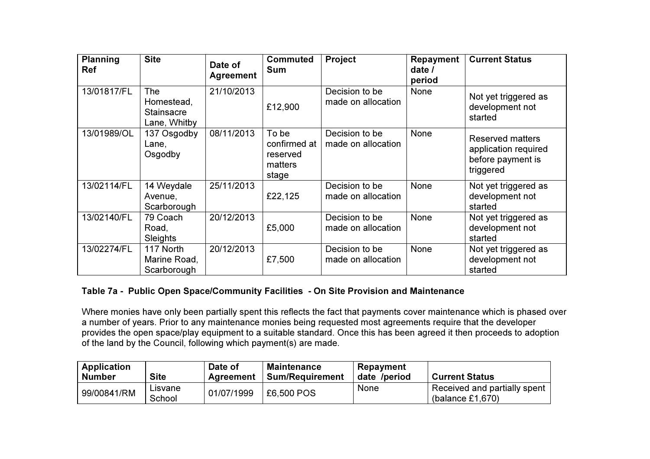| <b>Planning</b><br><b>Ref</b> | <b>Site</b>                                     | Date of<br><b>Agreement</b> | Commuted<br><b>Sum</b>                                | Project                              | Repayment<br>date/<br>period | <b>Current Status</b>                                                             |
|-------------------------------|-------------------------------------------------|-----------------------------|-------------------------------------------------------|--------------------------------------|------------------------------|-----------------------------------------------------------------------------------|
| 13/01817/FL                   | The<br>Homestead,<br>Stainsacre<br>Lane, Whitby | 21/10/2013                  | £12,900                                               | Decision to be<br>made on allocation | None                         | Not yet triggered as<br>development not<br>started                                |
| 13/01989/OL                   | 137 Osgodby<br>Lane,<br>Osgodby                 | 08/11/2013                  | To be<br>confirmed at<br>reserved<br>matters<br>stage | Decision to be<br>made on allocation | None                         | <b>Reserved matters</b><br>application required<br>before payment is<br>triggered |
| 13/02114/FL                   | 14 Weydale<br>Avenue,<br>Scarborough            | 25/11/2013                  | £22,125                                               | Decision to be<br>made on allocation | None                         | Not yet triggered as<br>development not<br>started                                |
| 13/02140/FL                   | 79 Coach<br>Road,<br><b>Sleights</b>            | 20/12/2013                  | £5,000                                                | Decision to be<br>made on allocation | <b>None</b>                  | Not yet triggered as<br>development not<br>started                                |
| 13/02274/FL                   | 117 North<br>Marine Road,<br>Scarborough        | 20/12/2013                  | £7,500                                                | Decision to be<br>made on allocation | None                         | Not yet triggered as<br>development not<br>started                                |

## Table 7a - Public Open Space/Community Facilities - On Site Provision and Maintenance

Where monies have only been partially spent this reflects the fact that payments cover maintenance which is phased over a number of years. Prior to any maintenance monies being requested most agreements require that the developer provides the open space/play equipment to a suitable standard. Once this has been agreed it then proceeds to adoption of the land by the Council, following which payment(s) are made.

| <b>Application</b><br><b>Number</b> | <b>Site</b>       | Date of<br>Agreement | <b>Maintenance</b><br><b>Sum/Requirement</b> | Repayment<br>date /period | <b>Current Status</b>                            |
|-------------------------------------|-------------------|----------------------|----------------------------------------------|---------------------------|--------------------------------------------------|
| 99/00841/RM                         | Lisvane<br>School | 01/07/1999           | £6,500 POS                                   | None                      | Received and partially spent<br>(balance £1,670) |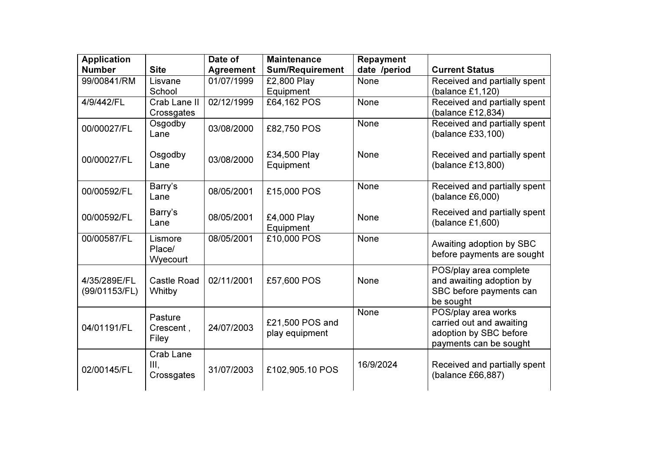| <b>Application</b><br><b>Number</b> | <b>Site</b>                     | Date of<br><b>Agreement</b> | <b>Maintenance</b><br><b>Sum/Requirement</b> | Repayment<br>date /period | <b>Current Status</b>                                                                               |  |
|-------------------------------------|---------------------------------|-----------------------------|----------------------------------------------|---------------------------|-----------------------------------------------------------------------------------------------------|--|
| 99/00841/RM                         | Lisvane<br>School               | 01/07/1999                  | £2,800 Play<br>Equipment                     | <b>None</b>               | Received and partially spent<br>(balance $£1,120$ )                                                 |  |
| 4/9/442/FL                          | Crab Lane II<br>Crossgates      | 02/12/1999                  | £64,162 POS                                  | None                      | Received and partially spent<br>(balance £12,834)                                                   |  |
| 00/00027/FL                         | Osgodby<br>Lane                 | 03/08/2000                  | £82,750 POS                                  | None                      | Received and partially spent<br>(balance £33,100)                                                   |  |
| 00/00027/FL                         | Osgodby<br>Lane                 | 03/08/2000                  | £34,500 Play<br>Equipment                    | <b>None</b>               | Received and partially spent<br>(balance £13,800)                                                   |  |
| 00/00592/FL                         | Barry's<br>Lane                 | 08/05/2001                  | £15,000 POS                                  | None                      | Received and partially spent<br>(balance £6,000)                                                    |  |
| 00/00592/FL                         | Barry's<br>Lane                 | 08/05/2001                  | £4,000 Play<br>Equipment                     | None                      | Received and partially spent<br>(balance £1,600)                                                    |  |
| 00/00587/FL                         | Lismore<br>Place/<br>Wyecourt   | 08/05/2001                  | £10,000 POS                                  | <b>None</b>               | Awaiting adoption by SBC<br>before payments are sought                                              |  |
| 4/35/289E/FL<br>(99/01153/FL)       | Castle Road<br>Whitby           | 02/11/2001                  | £57,600 POS                                  | None                      | POS/play area complete<br>and awaiting adoption by<br>SBC before payments can<br>be sought          |  |
| 04/01191/FL                         | Pasture<br>Crescent,<br>Filey   | 24/07/2003                  | £21,500 POS and<br>play equipment            | None                      | POS/play area works<br>carried out and awaiting<br>adoption by SBC before<br>payments can be sought |  |
| 02/00145/FL                         | Crab Lane<br>III,<br>Crossgates | 31/07/2003                  | £102,905.10 POS                              | 16/9/2024                 | Received and partially spent<br>(balance £66,887)                                                   |  |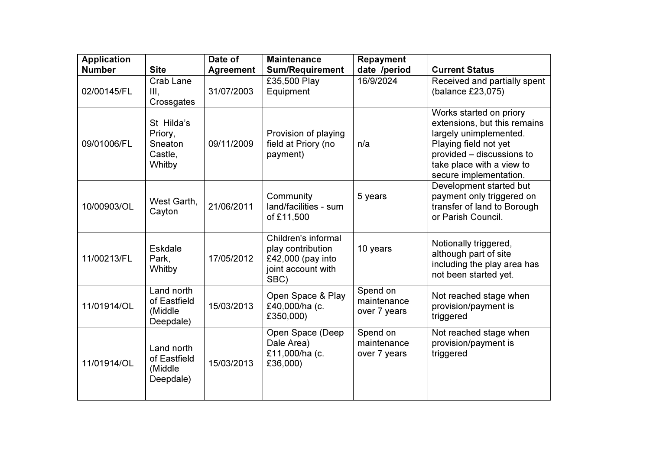| <b>Application</b><br><b>Number</b> | <b>Site</b>                                           | Date of<br><b>Agreement</b> | <b>Maintenance</b><br><b>Sum/Requirement</b>                                                | <b>Repayment</b><br>date /period        | <b>Current Status</b>                                                                                                                                                                          |
|-------------------------------------|-------------------------------------------------------|-----------------------------|---------------------------------------------------------------------------------------------|-----------------------------------------|------------------------------------------------------------------------------------------------------------------------------------------------------------------------------------------------|
| 02/00145/FL                         | Crab Lane<br>III,<br>Crossgates                       | 31/07/2003                  | £35,500 Play<br>Equipment                                                                   | 16/9/2024                               | Received and partially spent<br>(balance £23,075)                                                                                                                                              |
| 09/01006/FL                         | St Hilda's<br>Priory,<br>Sneaton<br>Castle,<br>Whitby | 09/11/2009                  | Provision of playing<br>field at Priory (no<br>payment)                                     | n/a                                     | Works started on priory<br>extensions, but this remains<br>largely unimplemented.<br>Playing field not yet<br>provided - discussions to<br>take place with a view to<br>secure implementation. |
| 10/00903/OL                         | West Garth,<br>Cayton                                 | 21/06/2011                  | Community<br>land/facilities - sum<br>of £11,500                                            | 5 years                                 | Development started but<br>payment only triggered on<br>transfer of land to Borough<br>or Parish Council.                                                                                      |
| 11/00213/FL                         | <b>Eskdale</b><br>Park,<br>Whitby                     | 17/05/2012                  | Children's informal<br>play contribution<br>£42,000 (pay into<br>joint account with<br>SBC) | 10 years                                | Notionally triggered,<br>although part of site<br>including the play area has<br>not been started yet.                                                                                         |
| 11/01914/OL                         | Land north<br>of Eastfield<br>(Middle)<br>Deepdale)   | 15/03/2013                  | Open Space & Play<br>£40,000/ha (c.<br>£350,000)                                            | Spend on<br>maintenance<br>over 7 years | Not reached stage when<br>provision/payment is<br>triggered                                                                                                                                    |
| 11/01914/OL                         | Land north<br>of Eastfield<br>(Middle<br>Deepdale)    | 15/03/2013                  | Open Space (Deep<br>Dale Area)<br>£11,000/ha (c.<br>£36,000)                                | Spend on<br>maintenance<br>over 7 years | Not reached stage when<br>provision/payment is<br>triggered                                                                                                                                    |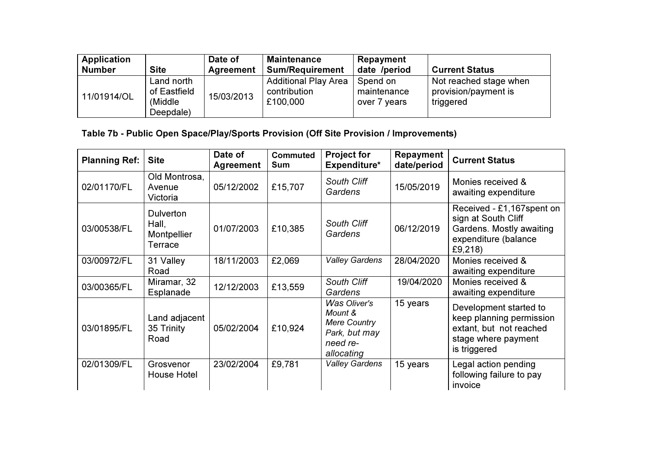| Application<br><b>Number</b> | <b>Site</b>                                         | Date of<br>Agreement | <b>Maintenance</b><br><b>Sum/Requirement</b>            | Repayment<br>date /period               | <b>Current Status</b>                                       |
|------------------------------|-----------------------------------------------------|----------------------|---------------------------------------------------------|-----------------------------------------|-------------------------------------------------------------|
| 11/01914/OL                  | Land north<br>of Eastfield<br>(Middle)<br>Deepdale) | 15/03/2013           | <b>Additional Play Area</b><br>contribution<br>£100,000 | Spend on<br>maintenance<br>over 7 years | Not reached stage when<br>provision/payment is<br>triggered |

# Table 7b - Public Open Space/Play/Sports Provision (Off Site Provision / Improvements)

| <b>Planning Ref:</b> | <b>Site</b>                                         | Date of<br><b>Agreement</b> | <b>Commuted</b><br><b>Sum</b> | <b>Project for</b><br>Expenditure*                                                        | Repayment<br>date/period | <b>Current Status</b>                                                                                                |
|----------------------|-----------------------------------------------------|-----------------------------|-------------------------------|-------------------------------------------------------------------------------------------|--------------------------|----------------------------------------------------------------------------------------------------------------------|
| 02/01170/FL          | Old Montrosa,<br>Avenue<br>Victoria                 | 05/12/2002                  | £15,707                       | South Cliff<br>Gardens                                                                    | 15/05/2019               | Monies received &<br>awaiting expenditure                                                                            |
| 03/00538/FL          | <b>Dulverton</b><br>Hall,<br>Montpellier<br>Terrace | 01/07/2003                  | £10,385                       | South Cliff<br>Gardens                                                                    | 06/12/2019               | Received - £1,167 spent on<br>sign at South Cliff<br>Gardens. Mostly awaiting<br>expenditure (balance<br>£9,218)     |
| 03/00972/FL          | 31 Valley<br>Road                                   | 18/11/2003                  | £2,069                        | <b>Valley Gardens</b>                                                                     | 28/04/2020               | Monies received &<br>awaiting expenditure                                                                            |
| 03/00365/FL          | Miramar, 32<br>Esplanade                            | 12/12/2003                  | £13,559                       | South Cliff<br>Gardens                                                                    | 19/04/2020               | Monies received &<br>awaiting expenditure                                                                            |
| 03/01895/FL          | Land adjacent<br>35 Trinity<br>Road                 | 05/02/2004                  | £10,924                       | Was Oliver's<br>Mount &<br><b>Mere Country</b><br>Park, but may<br>need re-<br>allocating | 15 years                 | Development started to<br>keep planning permission<br>extant, but not reached<br>stage where payment<br>is triggered |
| 02/01309/FL          | Grosvenor<br>House Hotel                            | 23/02/2004                  | £9,781                        | Valley Gardens                                                                            | 15 years                 | Legal action pending<br>following failure to pay<br>invoice                                                          |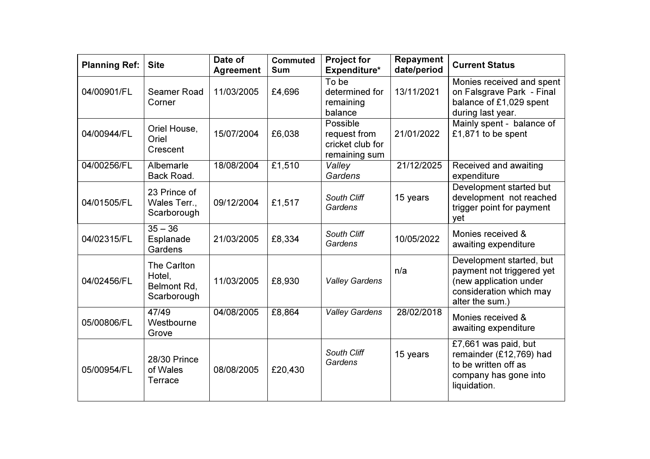| <b>Planning Ref:</b> | <b>Site</b>                                         | Date of<br><b>Agreement</b> | <b>Commuted</b><br><b>Sum</b> | <b>Project for</b><br>Expenditure*                            | <b>Repayment</b><br>date/period | <b>Current Status</b>                                                                                                         |
|----------------------|-----------------------------------------------------|-----------------------------|-------------------------------|---------------------------------------------------------------|---------------------------------|-------------------------------------------------------------------------------------------------------------------------------|
| 04/00901/FL          | Seamer Road<br>Corner                               | 11/03/2005                  | £4,696                        | To be<br>determined for<br>remaining<br>balance               | 13/11/2021                      | Monies received and spent<br>on Falsgrave Park - Final<br>balance of £1,029 spent<br>during last year.                        |
| 04/00944/FL          | Oriel House,<br>Oriel<br>Crescent                   | 15/07/2004                  | £6,038                        | Possible<br>request from<br>cricket club for<br>remaining sum | 21/01/2022                      | Mainly spent - balance of<br>£1,871 to be spent                                                                               |
| 04/00256/FL          | Albemarle<br>Back Road.                             | 18/08/2004                  | £1,510                        | Valley<br>Gardens                                             | 21/12/2025                      | Received and awaiting<br>expenditure                                                                                          |
| 04/01505/FL          | 23 Prince of<br>Wales Terr.,<br>Scarborough         | 09/12/2004                  | £1,517                        | South Cliff<br>Gardens                                        | 15 years                        | Development started but<br>development not reached<br>trigger point for payment<br>yet                                        |
| 04/02315/FL          | $35 - 36$<br>Esplanade<br>Gardens                   | 21/03/2005                  | £8,334                        | South Cliff<br>Gardens                                        | 10/05/2022                      | Monies received &<br>awaiting expenditure                                                                                     |
| 04/02456/FL          | The Carlton<br>Hotel,<br>Belmont Rd,<br>Scarborough | 11/03/2005                  | £8,930                        | <b>Valley Gardens</b>                                         | n/a                             | Development started, but<br>payment not triggered yet<br>(new application under<br>consideration which may<br>alter the sum.) |
| 05/00806/FL          | 47/49<br>Westbourne<br>Grove                        | 04/08/2005                  | £8,864                        | <b>Valley Gardens</b>                                         | 28/02/2018                      | Monies received &<br>awaiting expenditure                                                                                     |
| 05/00954/FL          | 28/30 Prince<br>of Wales<br>Terrace                 | 08/08/2005                  | £20,430                       | South Cliff<br>Gardens                                        | 15 years                        | £7,661 was paid, but<br>remainder (£12,769) had<br>to be written off as<br>company has gone into<br>liquidation.              |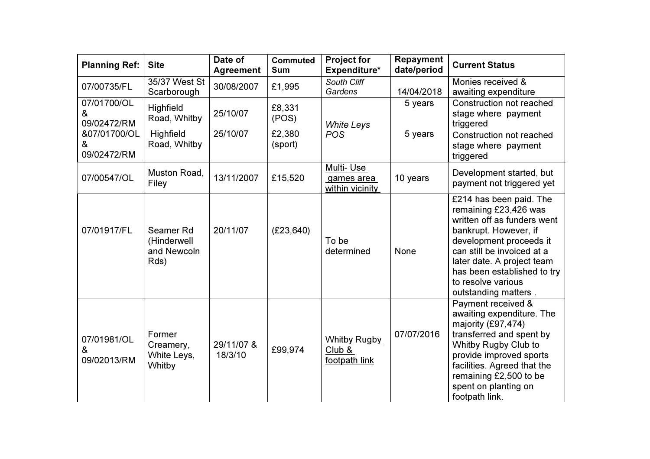| <b>Planning Ref:</b>                                                | <b>Site</b>                                            | Date of<br><b>Agreement</b> | <b>Commuted</b><br><b>Sum</b>        | <b>Project for</b><br>Expenditure*             | <b>Repayment</b><br>date/period | <b>Current Status</b>                                                                                                                                                                                                                                                        |
|---------------------------------------------------------------------|--------------------------------------------------------|-----------------------------|--------------------------------------|------------------------------------------------|---------------------------------|------------------------------------------------------------------------------------------------------------------------------------------------------------------------------------------------------------------------------------------------------------------------------|
| 07/00735/FL                                                         | 35/37 West St<br>Scarborough                           | 30/08/2007                  | £1,995                               | South Cliff<br>Gardens                         | 14/04/2018                      | Monies received &<br>awaiting expenditure                                                                                                                                                                                                                                    |
| 07/01700/OL<br>&<br>09/02472/RM<br>&07/01700/OL<br>&<br>09/02472/RM | Highfield<br>Road, Whitby<br>Highfield<br>Road, Whitby | 25/10/07<br>25/10/07        | £8,331<br>(POS)<br>£2,380<br>(sport) | <b>White Leys</b><br><b>POS</b>                | 5 years<br>5 years              | Construction not reached<br>stage where payment<br>triggered<br>Construction not reached<br>stage where payment<br>triggered                                                                                                                                                 |
| 07/00547/OL                                                         | Muston Road,<br>Filey                                  | 13/11/2007                  | £15,520                              | Multi-Use<br>games area<br>within vicinity     | 10 years                        | Development started, but<br>payment not triggered yet                                                                                                                                                                                                                        |
| 07/01917/FL                                                         | Seamer Rd<br>(Hinderwell<br>and Newcoln<br>Rds)        | 20/11/07                    | (E23, 640)                           | To be<br>determined                            | None                            | £214 has been paid. The<br>remaining £23,426 was<br>written off as funders went<br>bankrupt. However, if<br>development proceeds it<br>can still be invoiced at a<br>later date. A project team<br>has been established to try<br>to resolve various<br>outstanding matters. |
| 07/01981/OL<br>&<br>09/02013/RM                                     | Former<br>Creamery,<br>White Leys,<br>Whitby           | 29/11/07 &<br>18/3/10       | £99,974                              | <b>Whitby Rugby</b><br>Club &<br>footpath link | 07/07/2016                      | Payment received &<br>awaiting expenditure. The<br>majority (£97,474)<br>transferred and spent by<br>Whitby Rugby Club to<br>provide improved sports<br>facilities. Agreed that the<br>remaining £2,500 to be<br>spent on planting on<br>footpath link.                      |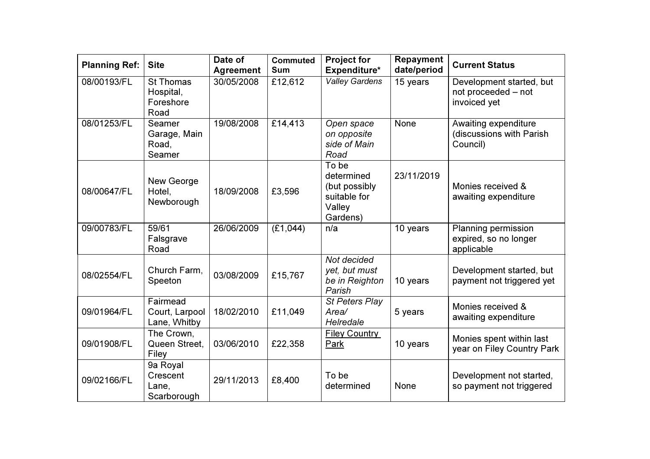| <b>Planning Ref:</b> | <b>Site</b>                                        | Date of<br><b>Agreement</b> | <b>Commuted</b><br><b>Sum</b> | <b>Project for</b><br>Expenditure*                                         | Repayment<br>date/period | <b>Current Status</b>                                           |
|----------------------|----------------------------------------------------|-----------------------------|-------------------------------|----------------------------------------------------------------------------|--------------------------|-----------------------------------------------------------------|
| 08/00193/FL          | <b>St Thomas</b><br>Hospital,<br>Foreshore<br>Road | 30/05/2008                  | £12,612                       | <b>Valley Gardens</b>                                                      | 15 years                 | Development started, but<br>not proceeded - not<br>invoiced yet |
| 08/01253/FL          | Seamer<br>Garage, Main<br>Road,<br>Seamer          | 19/08/2008                  | £14,413                       | Open space<br>on opposite<br>side of Main<br>Road                          | <b>None</b>              | Awaiting expenditure<br>(discussions with Parish<br>Council)    |
| 08/00647/FL          | New George<br>Hotel,<br>Newborough                 | 18/09/2008                  | £3,596                        | To be<br>determined<br>(but possibly<br>suitable for<br>Valley<br>Gardens) | 23/11/2019               | Monies received &<br>awaiting expenditure                       |
| 09/00783/FL          | 59/61<br>Falsgrave<br>Road                         | 26/06/2009                  | (E1,044)                      | n/a                                                                        | 10 years                 | Planning permission<br>expired, so no longer<br>applicable      |
| 08/02554/FL          | Church Farm,<br>Speeton                            | 03/08/2009                  | £15,767                       | Not decided<br>yet, but must<br>be in Reighton<br>Parish                   | 10 years                 | Development started, but<br>payment not triggered yet           |
| 09/01964/FL          | Fairmead<br>Court, Larpool<br>Lane, Whitby         | 18/02/2010                  | £11,049                       | St Peters Play<br>Area/<br>Helredale                                       | 5 years                  | Monies received &<br>awaiting expenditure                       |
| 09/01908/FL          | The Crown,<br>Queen Street,<br>Filey               | 03/06/2010                  | £22,358                       | Filey Country<br>Park                                                      | 10 years                 | Monies spent within last<br>year on Filey Country Park          |
| 09/02166/FL          | 9a Royal<br>Crescent<br>Lane,<br>Scarborough       | 29/11/2013                  | £8,400                        | To be<br>determined                                                        | None                     | Development not started,<br>so payment not triggered            |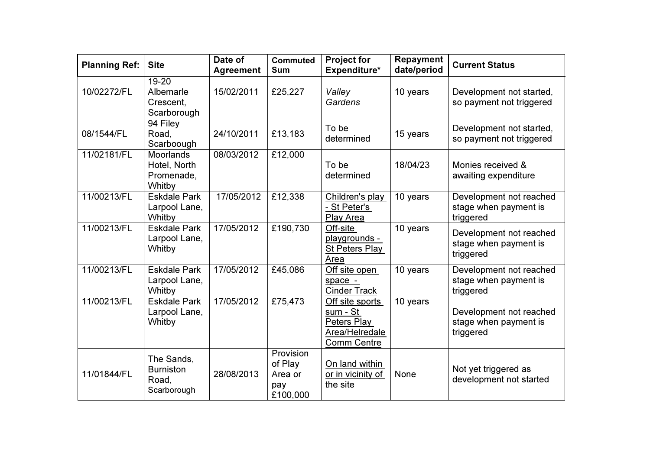| <b>Planning Ref:</b> | <b>Site</b>                                              | Date of<br><b>Agreement</b> | <b>Commuted</b><br><b>Sum</b>                      | <b>Project for</b><br>Expenditure*                                                 | Repayment<br>date/period | <b>Current Status</b>                                         |
|----------------------|----------------------------------------------------------|-----------------------------|----------------------------------------------------|------------------------------------------------------------------------------------|--------------------------|---------------------------------------------------------------|
| 10/02272/FL          | 19-20<br>Albemarle<br>Crescent,<br>Scarborough           | 15/02/2011                  | £25,227                                            | Valley<br>Gardens                                                                  | 10 years                 | Development not started,<br>so payment not triggered          |
| 08/1544/FL           | 94 Filey<br>Road,<br>Scarboough                          | 24/10/2011                  | £13,183                                            | To be<br>determined                                                                | 15 years                 | Development not started,<br>so payment not triggered          |
| 11/02181/FL          | <b>Moorlands</b><br>Hotel, North<br>Promenade,<br>Whitby | 08/03/2012                  | £12,000                                            | To be<br>determined                                                                | 18/04/23                 | Monies received &<br>awaiting expenditure                     |
| 11/00213/FL          | <b>Eskdale Park</b><br>Larpool Lane,<br>Whitby           | 17/05/2012                  | £12,338                                            | Children's play<br>- St Peter's<br>Play Area                                       | 10 years                 | Development not reached<br>stage when payment is<br>triggered |
| 11/00213/FL          | <b>Eskdale Park</b><br>Larpool Lane,<br>Whitby           | 17/05/2012                  | £190,730                                           | Off-site<br>playgrounds -<br>St Peters Play<br>Area                                | 10 years                 | Development not reached<br>stage when payment is<br>triggered |
| 11/00213/FL          | <b>Eskdale Park</b><br>Larpool Lane,<br>Whitby           | 17/05/2012                  | £45,086                                            | Off site open<br>space -<br><b>Cinder Track</b>                                    | 10 years                 | Development not reached<br>stage when payment is<br>triggered |
| 11/00213/FL          | <b>Eskdale Park</b><br>Larpool Lane,<br>Whitby           | 17/05/2012                  | £75,473                                            | Off site sports<br>sum - St<br>Peters Play<br>Area/Helredale<br><b>Comm Centre</b> | 10 years                 | Development not reached<br>stage when payment is<br>triggered |
| 11/01844/FL          | The Sands,<br><b>Burniston</b><br>Road,<br>Scarborough   | 28/08/2013                  | Provision<br>of Play<br>Area or<br>pay<br>£100,000 | On land within<br>or in vicinity of<br>the site                                    | <b>None</b>              | Not yet triggered as<br>development not started               |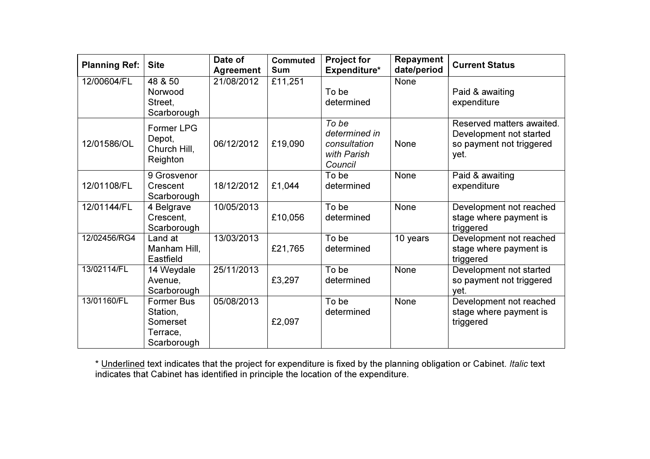| <b>Planning Ref:</b> | <b>Site</b>                                                          | Date of<br><b>Agreement</b> | <b>Commuted</b><br><b>Sum</b> | <b>Project for</b><br>Expenditure*                               | <b>Repayment</b><br>date/period | <b>Current Status</b>                                                                    |
|----------------------|----------------------------------------------------------------------|-----------------------------|-------------------------------|------------------------------------------------------------------|---------------------------------|------------------------------------------------------------------------------------------|
| 12/00604/FL          | 48 & 50<br>Norwood<br>Street,<br>Scarborough                         | 21/08/2012                  | £11,251                       | To be<br>determined                                              | None                            | Paid & awaiting<br>expenditure                                                           |
| 12/01586/OL          | <b>Former LPG</b><br>Depot,<br>Church Hill,<br>Reighton              | 06/12/2012                  | £19,090                       | To be<br>determined in<br>consultation<br>with Parish<br>Council | None                            | Reserved matters awaited.<br>Development not started<br>so payment not triggered<br>yet. |
| 12/01108/FL          | 9 Grosvenor<br>Crescent<br>Scarborough                               | 18/12/2012                  | £1,044                        | To be<br>determined                                              | None                            | Paid & awaiting<br>expenditure                                                           |
| 12/01144/FL          | 4 Belgrave<br>Crescent,<br>Scarborough                               | 10/05/2013                  | £10,056                       | To be<br>determined                                              | None                            | Development not reached<br>stage where payment is<br>triggered                           |
| 12/02456/RG4         | Land at<br>Manham Hill,<br>Eastfield                                 | 13/03/2013                  | £21,765                       | To be<br>determined                                              | 10 years                        | Development not reached<br>stage where payment is<br>triggered                           |
| 13/02114/FL          | 14 Weydale<br>Avenue,<br>Scarborough                                 | 25/11/2013                  | £3,297                        | To be<br>determined                                              | None                            | Development not started<br>so payment not triggered<br>yet.                              |
| 13/01160/FL          | <b>Former Bus</b><br>Station,<br>Somerset<br>Terrace,<br>Scarborough | 05/08/2013                  | £2,097                        | To be<br>determined                                              | None                            | Development not reached<br>stage where payment is<br>triggered                           |

\* <u>Underlined</u> text indicates that the project for expenditure is fixed by the planning obligation or Cabinet. *Italic* text<br>indicates that Cabinet has identified in principle the location of the expenditure.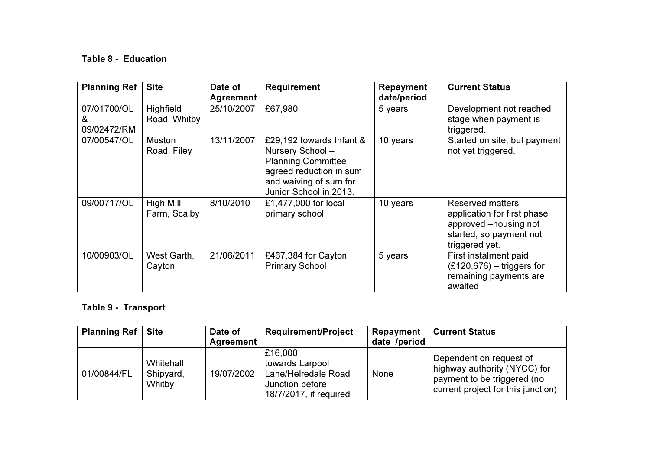## Table 8 - Education

| <b>Planning Ref</b>             | <b>Site</b>               | Date of<br><b>Agreement</b> | <b>Requirement</b>                                                                                                                                      | Repayment<br>date/period | <b>Current Status</b>                                                                                                 |
|---------------------------------|---------------------------|-----------------------------|---------------------------------------------------------------------------------------------------------------------------------------------------------|--------------------------|-----------------------------------------------------------------------------------------------------------------------|
| 07/01700/OL<br>&<br>09/02472/RM | Highfield<br>Road, Whitby | 25/10/2007                  | £67,980                                                                                                                                                 | 5 years                  | Development not reached<br>stage when payment is<br>triggered.                                                        |
| 07/00547/OL                     | Muston<br>Road, Filey     | 13/11/2007                  | £29,192 towards Infant &<br>Nursery School-<br><b>Planning Committee</b><br>agreed reduction in sum<br>and waiving of sum for<br>Junior School in 2013. | 10 years                 | Started on site, but payment<br>not yet triggered.                                                                    |
| 09/00717/OL                     | High Mill<br>Farm, Scalby | 8/10/2010                   | £1,477,000 for local<br>primary school                                                                                                                  | 10 years                 | Reserved matters<br>application for first phase<br>approved -housing not<br>started, so payment not<br>triggered yet. |
| 10/00903/OL                     | West Garth,<br>Cayton     | 21/06/2011                  | £467,384 for Cayton<br><b>Primary School</b>                                                                                                            | 5 years                  | First instalment paid<br>$(E120, 676)$ – triggers for<br>remaining payments are<br>awaited                            |

## Table 9 - Transport

| <b>Planning Ref</b> | <b>Site</b>                      | Date of          | <b>Requirement/Project</b>                                                                     | Repayment    | <b>Current Status</b>                                                                                                        |
|---------------------|----------------------------------|------------------|------------------------------------------------------------------------------------------------|--------------|------------------------------------------------------------------------------------------------------------------------------|
|                     |                                  | <b>Agreement</b> |                                                                                                | date /period |                                                                                                                              |
| 01/00844/FL         | Whitehall<br>Shipyard,<br>Whitby | 19/07/2002       | £16,000<br>towards Larpool<br>Lane/Helredale Road<br>Junction before<br>18/7/2017, if required | None         | Dependent on request of<br>highway authority (NYCC) for<br>payment to be triggered (no<br>current project for this junction) |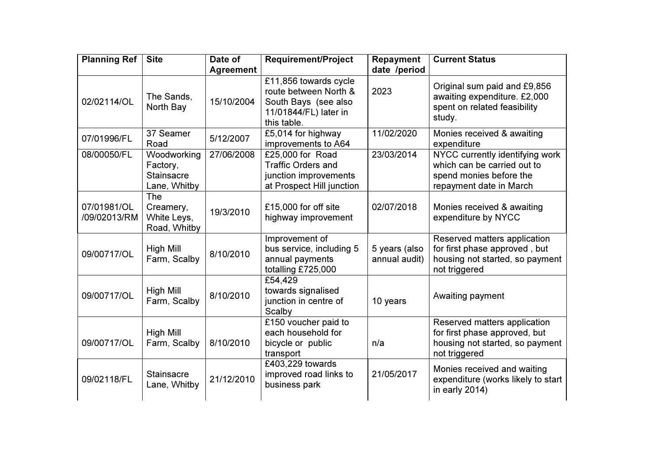| <b>Planning Ref</b>         | <b>Site</b>                                                  | Date of          | <b>Requirement/Project</b>                                                                                     | Repayment                      | <b>Current Status</b>                                                                                                |
|-----------------------------|--------------------------------------------------------------|------------------|----------------------------------------------------------------------------------------------------------------|--------------------------------|----------------------------------------------------------------------------------------------------------------------|
|                             |                                                              | <b>Agreement</b> |                                                                                                                | date /period                   |                                                                                                                      |
| 02/02114/OL                 | The Sands,<br>North Bay                                      | 15/10/2004       | £11,856 towards cycle<br>route between North &<br>South Bays (see also<br>11/01844/FL) later in<br>this table. | 2023                           | Original sum paid and £9,856<br>awaiting expenditure. £2,000<br>spent on related feasibility<br>study.               |
| 07/01996/FL                 | 37 Seamer<br>Road                                            | 5/12/2007        | £5,014 for highway<br>improvements to A64                                                                      | 11/02/2020                     | Monies received & awaiting<br>expenditure                                                                            |
| 08/00050/FL                 | Woodworking<br>Factory,<br><b>Stainsacre</b><br>Lane, Whitby | 27/06/2008       | £25,000 for Road<br><b>Traffic Orders and</b><br>junction improvements<br>at Prospect Hill junction            | 23/03/2014                     | NYCC currently identifying work<br>which can be carried out to<br>spend monies before the<br>repayment date in March |
| 07/01981/OL<br>/09/02013/RM | <b>The</b><br>Creamery,<br>White Leys,<br>Road, Whitby       | 19/3/2010        | £15,000 for off site<br>highway improvement                                                                    | 02/07/2018                     | Monies received & awaiting<br>expenditure by NYCC                                                                    |
| 09/00717/OL                 | High Mill<br>Farm, Scalby                                    | 8/10/2010        | Improvement of<br>bus service, including 5<br>annual payments<br>totalling £725,000                            | 5 years (also<br>annual audit) | Reserved matters application<br>for first phase approved, but<br>housing not started, so payment<br>not triggered    |
| 09/00717/OL                 | High Mill<br>Farm, Scalby                                    | 8/10/2010        | £54,429<br>towards signalised<br>junction in centre of<br>Scalby                                               | 10 years                       | Awaiting payment                                                                                                     |
| 09/00717/OL                 | <b>High Mill</b><br>Farm, Scalby                             | 8/10/2010        | £150 voucher paid to<br>each household for<br>bicycle or public<br>transport                                   | n/a                            | Reserved matters application<br>for first phase approved, but<br>housing not started, so payment<br>not triggered    |
| 09/02118/FL                 | <b>Stainsacre</b><br>Lane, Whitby                            | 21/12/2010       | £403,229 towards<br>improved road links to<br>business park                                                    | 21/05/2017                     | Monies received and waiting<br>expenditure (works likely to start<br>in early 2014)                                  |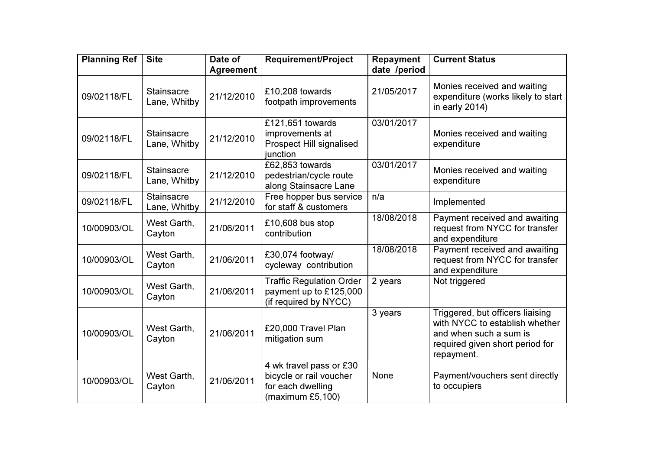| <b>Planning Ref</b> | <b>Site</b>                       | Date of<br><b>Agreement</b> | <b>Requirement/Project</b>                                                                  | Repayment<br>date /period | <b>Current Status</b>                                                                                                                         |
|---------------------|-----------------------------------|-----------------------------|---------------------------------------------------------------------------------------------|---------------------------|-----------------------------------------------------------------------------------------------------------------------------------------------|
| 09/02118/FL         | <b>Stainsacre</b><br>Lane, Whitby | 21/12/2010                  | £10,208 towards<br>footpath improvements                                                    | 21/05/2017                | Monies received and waiting<br>expenditure (works likely to start<br>in early 2014)                                                           |
| 09/02118/FL         | <b>Stainsacre</b><br>Lane, Whitby | 21/12/2010                  | £121,651 towards<br>improvements at<br><b>Prospect Hill signalised</b><br>junction          | 03/01/2017                | Monies received and waiting<br>expenditure                                                                                                    |
| 09/02118/FL         | <b>Stainsacre</b><br>Lane, Whitby | 21/12/2010                  | £62,853 towards<br>pedestrian/cycle route<br>along Stainsacre Lane                          | 03/01/2017                | Monies received and waiting<br>expenditure                                                                                                    |
| 09/02118/FL         | <b>Stainsacre</b><br>Lane, Whitby | 21/12/2010                  | Free hopper bus service<br>for staff & customers                                            | n/a                       | Implemented                                                                                                                                   |
| 10/00903/OL         | West Garth,<br>Cayton             | 21/06/2011                  | £10,608 bus stop<br>contribution                                                            | 18/08/2018                | Payment received and awaiting<br>request from NYCC for transfer<br>and expenditure                                                            |
| 10/00903/OL         | West Garth,<br>Cayton             | 21/06/2011                  | £30,074 footway/<br>cycleway contribution                                                   | 18/08/2018                | Payment received and awaiting<br>request from NYCC for transfer<br>and expenditure                                                            |
| 10/00903/OL         | West Garth,<br>Cayton             | 21/06/2011                  | <b>Traffic Regulation Order</b><br>payment up to £125,000<br>(if required by NYCC)          | 2 years                   | Not triggered                                                                                                                                 |
| 10/00903/OL         | West Garth,<br>Cayton             | 21/06/2011                  | £20,000 Travel Plan<br>mitigation sum                                                       | 3 years                   | Triggered, but officers liaising<br>with NYCC to establish whether<br>and when such a sum is<br>required given short period for<br>repayment. |
| 10/00903/OL         | West Garth,<br>Cayton             | 21/06/2011                  | 4 wk travel pass or £30<br>bicycle or rail voucher<br>for each dwelling<br>(maximum £5,100) | None                      | Payment/vouchers sent directly<br>to occupiers                                                                                                |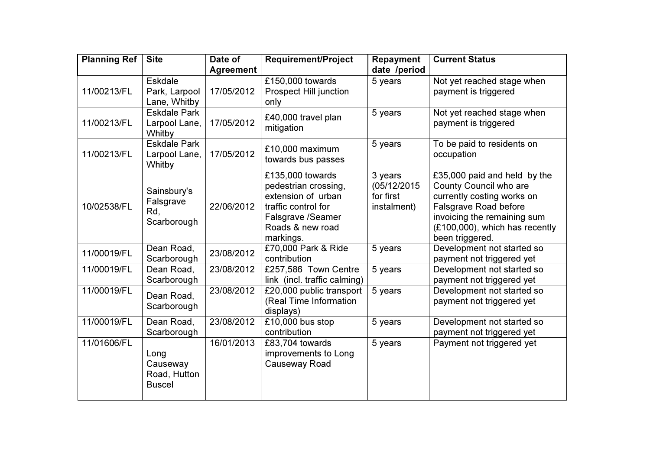| <b>Planning Ref</b> | <b>Site</b>                                                    | Date of                        | <b>Requirement/Project</b>                                                                                                                  | Repayment                                          | <b>Current Status</b>                                                                                                                                                                                    |
|---------------------|----------------------------------------------------------------|--------------------------------|---------------------------------------------------------------------------------------------------------------------------------------------|----------------------------------------------------|----------------------------------------------------------------------------------------------------------------------------------------------------------------------------------------------------------|
| 11/00213/FL         | <b>Eskdale</b><br>Park, Larpool                                | <b>Agreement</b><br>17/05/2012 | £150,000 towards<br><b>Prospect Hill junction</b>                                                                                           | date /period<br>5 years                            | Not yet reached stage when<br>payment is triggered                                                                                                                                                       |
| 11/00213/FL         | Lane, Whitby<br><b>Eskdale Park</b><br>Larpool Lane,<br>Whitby | 17/05/2012                     | only<br>£40,000 travel plan<br>mitigation                                                                                                   | 5 years                                            | Not yet reached stage when<br>payment is triggered                                                                                                                                                       |
| 11/00213/FL         | <b>Eskdale Park</b><br>Larpool Lane,<br>Whitby                 | 17/05/2012                     | £10,000 maximum<br>towards bus passes                                                                                                       | 5 years                                            | To be paid to residents on<br>occupation                                                                                                                                                                 |
| 10/02538/FL         | Sainsbury's<br>Falsgrave<br>Rd,<br>Scarborough                 | 22/06/2012                     | £135,000 towards<br>pedestrian crossing,<br>extension of urban<br>traffic control for<br>Falsgrave /Seamer<br>Roads & new road<br>markings. | 3 years<br>(05/12/2015<br>for first<br>instalment) | £35,000 paid and held by the<br>County Council who are<br>currently costing works on<br><b>Falsgrave Road before</b><br>invoicing the remaining sum<br>(£100,000), which has recently<br>been triggered. |
| 11/00019/FL         | Dean Road,<br>Scarborough                                      | 23/08/2012                     | £70,000 Park & Ride<br>contribution                                                                                                         | 5 years                                            | Development not started so<br>payment not triggered yet                                                                                                                                                  |
| 11/00019/FL         | Dean Road,<br>Scarborough                                      | 23/08/2012                     | £257,586 Town Centre<br>link (incl. traffic calming)                                                                                        | 5 years                                            | Development not started so<br>payment not triggered yet                                                                                                                                                  |
| 11/00019/FL         | Dean Road,<br>Scarborough                                      | 23/08/2012                     | £20,000 public transport<br>(Real Time Information<br>displays)                                                                             | 5 years                                            | Development not started so<br>payment not triggered yet                                                                                                                                                  |
| 11/00019/FL         | Dean Road,<br>Scarborough                                      | 23/08/2012                     | £10,000 bus stop<br>contribution                                                                                                            | 5 years                                            | Development not started so<br>payment not triggered yet                                                                                                                                                  |
| 11/01606/FL         | Long<br>Causeway<br>Road, Hutton<br><b>Buscel</b>              | 16/01/2013                     | £83,704 towards<br>improvements to Long<br>Causeway Road                                                                                    | 5 years                                            | Payment not triggered yet                                                                                                                                                                                |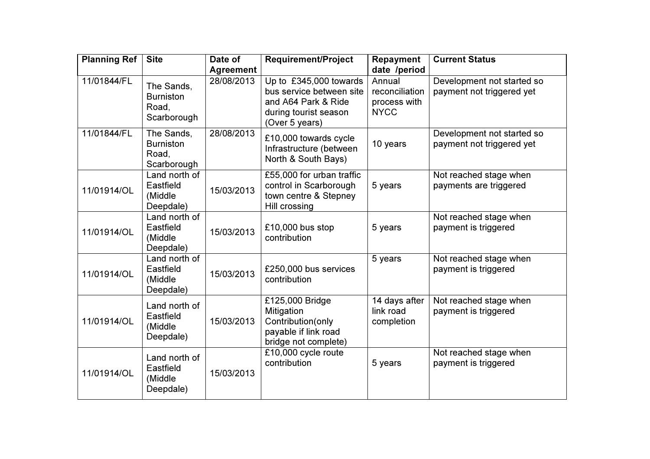| <b>Planning Ref</b> | <b>Site</b>                                            | Date of<br><b>Agreement</b> | <b>Requirement/Project</b>                                                                                           | <b>Repayment</b><br>date /period                        | <b>Current Status</b>                                   |
|---------------------|--------------------------------------------------------|-----------------------------|----------------------------------------------------------------------------------------------------------------------|---------------------------------------------------------|---------------------------------------------------------|
| 11/01844/FL         | The Sands,<br><b>Burniston</b><br>Road,<br>Scarborough | 28/08/2013                  | Up to £345,000 towards<br>bus service between site<br>and A64 Park & Ride<br>during tourist season<br>(Over 5 years) | Annual<br>reconciliation<br>process with<br><b>NYCC</b> | Development not started so<br>payment not triggered yet |
| 11/01844/FL         | The Sands,<br><b>Burniston</b><br>Road,<br>Scarborough | 28/08/2013                  | £10,000 towards cycle<br>Infrastructure (between<br>North & South Bays)                                              | 10 years                                                | Development not started so<br>payment not triggered yet |
| 11/01914/OL         | Land north of<br>Eastfield<br>(Middle<br>Deepdale)     | 15/03/2013                  | £55,000 for urban traffic<br>control in Scarborough<br>town centre & Stepney<br>Hill crossing                        | 5 years                                                 | Not reached stage when<br>payments are triggered        |
| 11/01914/OL         | Land north of<br>Eastfield<br>(Middle<br>Deepdale)     | 15/03/2013                  | £10,000 bus stop<br>contribution                                                                                     | 5 years                                                 | Not reached stage when<br>payment is triggered          |
| 11/01914/OL         | Land north of<br>Eastfield<br>(Middle<br>Deepdale)     | 15/03/2013                  | £250,000 bus services<br>contribution                                                                                | 5 years                                                 | Not reached stage when<br>payment is triggered          |
| 11/01914/OL         | Land north of<br>Eastfield<br>(Middle<br>Deepdale)     | 15/03/2013                  | £125,000 Bridge<br>Mitigation<br>Contribution(only<br>payable if link road<br>bridge not complete)                   | 14 days after<br>link road<br>completion                | Not reached stage when<br>payment is triggered          |
| 11/01914/OL         | Land north of<br>Eastfield<br>(Middle<br>Deepdale)     | 15/03/2013                  | £10,000 cycle route<br>contribution                                                                                  | 5 years                                                 | Not reached stage when<br>payment is triggered          |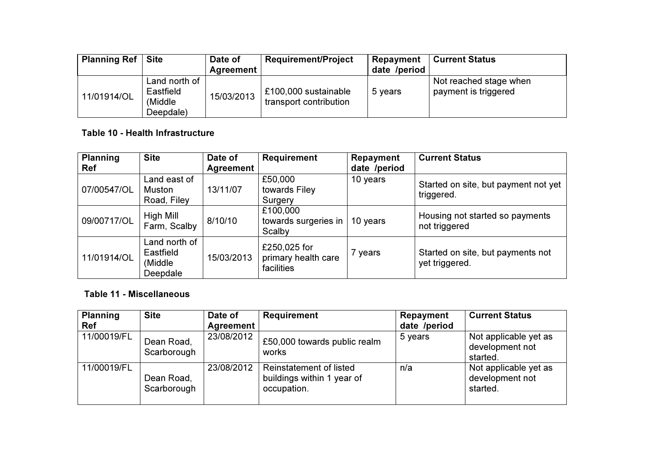| <b>Planning Ref</b> | <b>Site</b>                                         | Date of<br>Agreement | <b>Requirement/Project</b>                     | Repayment<br>date /period | <b>Current Status</b>                          |
|---------------------|-----------------------------------------------------|----------------------|------------------------------------------------|---------------------------|------------------------------------------------|
| 11/01914/OL         | Land north of<br>Eastfield<br>(Middle)<br>Deepdale) | 15/03/2013           | £100,000 sustainable<br>transport contribution | 5 years                   | Not reached stage when<br>payment is triggered |

# Table 10 - Health Infrastructure

| <b>Planning</b><br><b>Ref</b> | <b>Site</b>                                        | Date of<br><b>Agreement</b> | <b>Requirement</b>                                | Repayment<br>date /period | <b>Current Status</b>                               |
|-------------------------------|----------------------------------------------------|-----------------------------|---------------------------------------------------|---------------------------|-----------------------------------------------------|
| 07/00547/OL                   | Land east of<br>Muston<br>Road, Filey              | 13/11/07                    | £50,000<br>towards Filey<br>Surgery               | 10 years                  | Started on site, but payment not yet<br>triggered.  |
| 09/00717/OL                   | High Mill<br>Farm, Scalby                          | 8/10/10                     | £100,000<br>towards surgeries in<br>Scalby        | 10 years                  | Housing not started so payments<br>not triggered    |
| 11/01914/OL                   | Land north of<br>Eastfield<br>(Middle)<br>Deepdale | 15/03/2013                  | £250,025 for<br>primary health care<br>facilities | 7 years                   | Started on site, but payments not<br>yet triggered. |

# Table 11 - Miscellaneous

| <b>Planning</b><br><b>Ref</b> | <b>Site</b>               | Date of<br>Agreement | <b>Requirement</b>                                                   | Repayment<br>date /period | <b>Current Status</b>                                |
|-------------------------------|---------------------------|----------------------|----------------------------------------------------------------------|---------------------------|------------------------------------------------------|
| 11/00019/FL                   | Dean Road,<br>Scarborough | 23/08/2012           | £50,000 towards public realm<br>works                                | 5 years                   | Not applicable yet as<br>development not<br>started. |
| 11/00019/FL                   | Dean Road,<br>Scarborough | 23/08/2012           | Reinstatement of listed<br>buildings within 1 year of<br>occupation. | n/a                       | Not applicable yet as<br>development not<br>started. |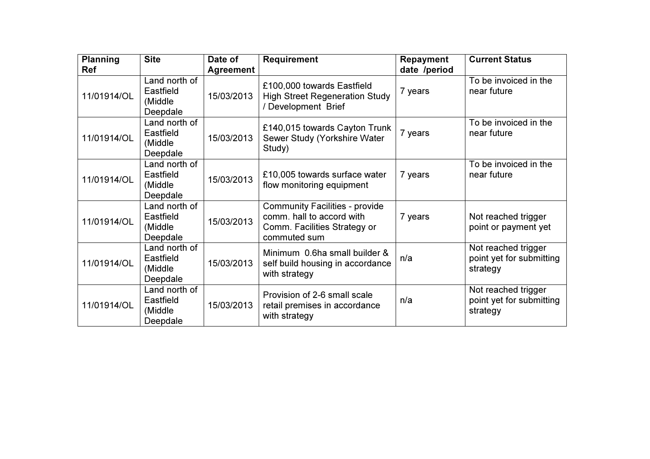| <b>Planning</b><br><b>Ref</b> | <b>Site</b>                                       | Date of<br>Agreement | <b>Requirement</b>                                                                                                 | <b>Repayment</b><br>date /period | <b>Current Status</b>                                       |
|-------------------------------|---------------------------------------------------|----------------------|--------------------------------------------------------------------------------------------------------------------|----------------------------------|-------------------------------------------------------------|
| 11/01914/OL                   | Land north of<br>Eastfield<br>(Middle<br>Deepdale | 15/03/2013           | £100,000 towards Eastfield<br><b>High Street Regeneration Study</b><br>/ Development Brief                         | 7 years                          | To be invoiced in the<br>near future                        |
| 11/01914/OL                   | Land north of<br>Eastfield<br>(Middle<br>Deepdale | 15/03/2013           | £140,015 towards Cayton Trunk<br>Sewer Study (Yorkshire Water<br>Study)                                            | 7 years                          | To be invoiced in the<br>near future                        |
| 11/01914/OL                   | Land north of<br>Eastfield<br>(Middle<br>Deepdale | 15/03/2013           | £10,005 towards surface water<br>flow monitoring equipment                                                         | 7 years                          | To be invoiced in the<br>near future                        |
| 11/01914/OL                   | Land north of<br>Eastfield<br>(Middle<br>Deepdale | 15/03/2013           | <b>Community Facilities - provide</b><br>comm. hall to accord with<br>Comm. Facilities Strategy or<br>commuted sum | 7 years                          | Not reached trigger<br>point or payment yet                 |
| 11/01914/OL                   | Land north of<br>Eastfield<br>(Middle<br>Deepdale | 15/03/2013           | Minimum 0.6ha small builder &<br>self build housing in accordance<br>with strategy                                 | n/a                              | Not reached trigger<br>point yet for submitting<br>strategy |
| 11/01914/OL                   | Land north of<br>Eastfield<br>(Middle<br>Deepdale | 15/03/2013           | Provision of 2-6 small scale<br>retail premises in accordance<br>with strategy                                     | n/a                              | Not reached trigger<br>point yet for submitting<br>strategy |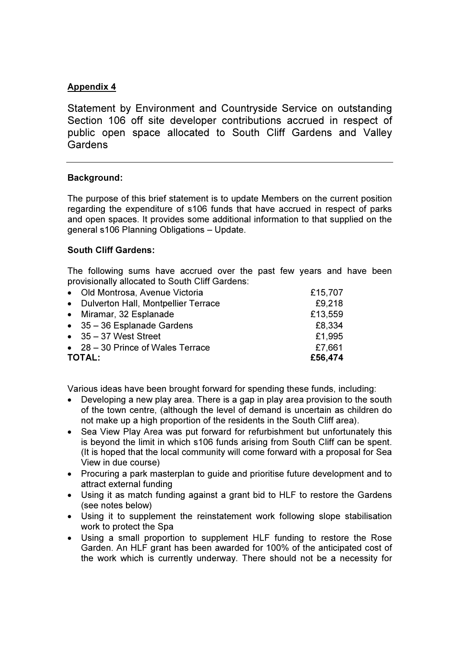# Appendix 4

Statement by Environment and Countryside Service on outstanding Section 106 off site developer contributions accrued in respect of public open space allocated to South Cliff Gardens and Valley **Gardens** 

## Background:

The purpose of this brief statement is to update Members on the current position regarding the expenditure of s106 funds that have accrued in respect of parks and open spaces. It provides some additional information to that supplied on the general s106 Planning Obligations – Update.

## South Cliff Gardens:

The following sums have accrued over the past few years and have been provisionally allocated to South Cliff Gardens:

| • Old Montrosa, Avenue Victoria           | £15,707 |
|-------------------------------------------|---------|
| • Dulverton Hall, Montpellier Terrace     | £9,218  |
| • Miramar, 32 Esplanade                   | £13,559 |
| $\bullet$ 35 - 36 Esplanade Gardens       | £8,334  |
| $\bullet$ 35 - 37 West Street             | £1,995  |
| $\bullet$ 28 – 30 Prince of Wales Terrace | £7,661  |
| <b>TOTAL:</b>                             | £56,474 |

Various ideas have been brought forward for spending these funds, including:

- Developing a new play area. There is a gap in play area provision to the south of the town centre, (although the level of demand is uncertain as children do not make up a high proportion of the residents in the South Cliff area).
- Sea View Play Area was put forward for refurbishment but unfortunately this is beyond the limit in which s106 funds arising from South Cliff can be spent. (It is hoped that the local community will come forward with a proposal for Sea View in due course)
- Procuring a park masterplan to guide and prioritise future development and to attract external funding
- Using it as match funding against a grant bid to HLF to restore the Gardens (see notes below)
- Using it to supplement the reinstatement work following slope stabilisation work to protect the Spa
- Using a small proportion to supplement HLF funding to restore the Rose Garden. An HLF grant has been awarded for 100% of the anticipated cost of the work which is currently underway. There should not be a necessity for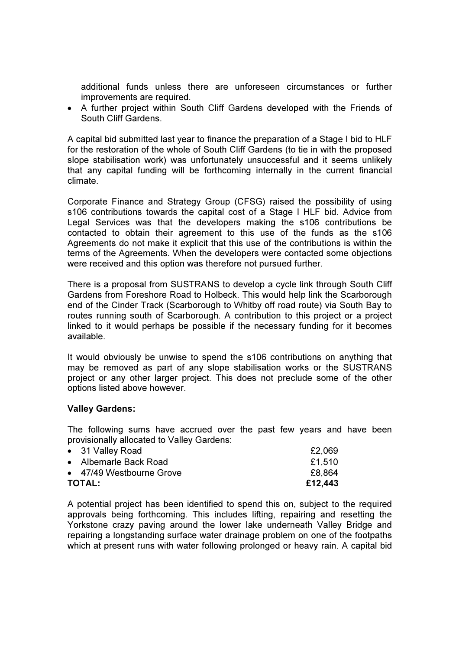additional funds unless there are unforeseen circumstances or further improvements are required.

• A further project within South Cliff Gardens developed with the Friends of South Cliff Gardens.

A capital bid submitted last year to finance the preparation of a Stage I bid to HLF for the restoration of the whole of South Cliff Gardens (to tie in with the proposed slope stabilisation work) was unfortunately unsuccessful and it seems unlikely that any capital funding will be forthcoming internally in the current financial climate.

Corporate Finance and Strategy Group (CFSG) raised the possibility of using s106 contributions towards the capital cost of a Stage I HLF bid. Advice from Legal Services was that the developers making the s106 contributions be contacted to obtain their agreement to this use of the funds as the s106 Agreements do not make it explicit that this use of the contributions is within the terms of the Agreements. When the developers were contacted some objections were received and this option was therefore not pursued further.

There is a proposal from SUSTRANS to develop a cycle link through South Cliff Gardens from Foreshore Road to Holbeck. This would help link the Scarborough end of the Cinder Track (Scarborough to Whitby off road route) via South Bay to routes running south of Scarborough. A contribution to this project or a project linked to it would perhaps be possible if the necessary funding for it becomes available.

It would obviously be unwise to spend the s106 contributions on anything that may be removed as part of any slope stabilisation works or the SUSTRANS project or any other larger project. This does not preclude some of the other options listed above however.

#### Valley Gardens:

The following sums have accrued over the past few years and have been provisionally allocated to Valley Gardens:

| • 31 Valley Road         | £2,069  |
|--------------------------|---------|
| • Albemarle Back Road    | £1.510  |
| • 47/49 Westbourne Grove | £8,864  |
| <b>TOTAL:</b>            | £12,443 |

A potential project has been identified to spend this on, subject to the required approvals being forthcoming. This includes lifting, repairing and resetting the Yorkstone crazy paving around the lower lake underneath Valley Bridge and repairing a longstanding surface water drainage problem on one of the footpaths which at present runs with water following prolonged or heavy rain. A capital bid